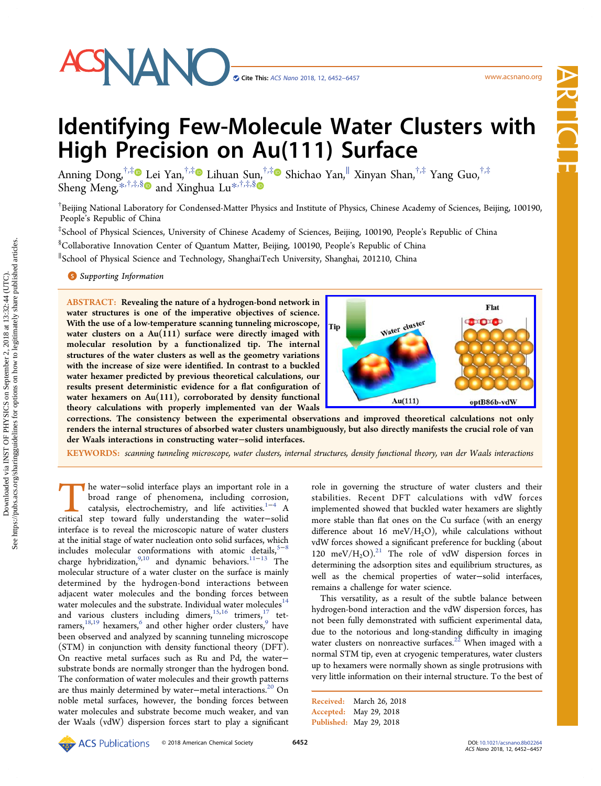

Article

# Identifying Few-Molecule Water Clusters with High Precision on Au(111) Surface

Anning Dong,<sup>†,‡</sup>® [L](#page-4-0)ei Yan,<sup>†,[‡](#page-4-0)</sup>® Lihuan Su[n,](#page-4-0)<sup>†,‡</sup>® Shichao Yan,<sup>∥</sup> Xinyan Shan,<sup>†,‡</sup> Yang Guo,<sup>†,‡</sup> Sheng Meng, $\overset{\bullet}{*}$  $\overset{\bullet}{*}$  $\overset{\bullet}{*}$ , $\overset{\ast}{\text{in}}$ , $\overset{\ast}{\text{in}}$  and Xinghua Lu $\overset{\ast}{*}$ , $\overset{\ast}{\text{in}}$ , $\overset{\ast}{\text{in}}$ 

 $^\dagger$ Beijing National Laboratory for Condensed-Matter Physics and Institute of Physics, Chinese Academy of Sciences, Beijing, 100190, People's Republic of China

‡ School of Physical Sciences, University of Chinese Academy of Sciences, Beijing, 100190, People's Republic of China

 $\rm ^\$$ Collaborative Innovation Center of Quantum Matter, Beijing, 100190, People's Republic of China

∥ School of Physical Science and Technology, ShanghaiTech University, Shanghai, 201210, China

**S** [Supporting Information](#page-4-0)

ABSTRACT: Revealing the nature of a hydrogen-bond network in water structures is one of the imperative objectives of science. With the use of a low-temperature scanning tunneling microscope, water clusters on a Au(111) surface were directly imaged with molecular resolution by a functionalized tip. The internal structures of the water clusters as well as the geometry variations with the increase of size were identified. In contrast to a buckled water hexamer predicted by previous theoretical calculations, our results present deterministic evidence for a flat configuration of water hexamers on Au(111), corroborated by density functional theory calculations with properly implemented van der Waals



corrections. The consistency between the experimental observations and improved theoretical calculations not only renders the internal structures of absorbed water clusters unambiguously, but also directly manifests the crucial role of van der Waals interactions in constructing water−solid interfaces.

KEYWORDS: scanning tunneling microscope, water clusters, internal structures, density functional theory, van der Waals interactions

The water−solid interface plays an important role in a broad range of phenomena, including corrosion, catalysis, electrochemistry, and life activities.<sup>1–4</sup> A critical step toward fully understanding the water−solid broad range of phenomena, including corrosion, catalysis, electrochemistry, and life activities. $1^{-4}$  $1^{-4}$  $1^{-4}$  $1^{-4}$  A interface is to reveal the microscopic nature of water clusters at the initial stage of water nucleation onto solid surfaces, which includes molecular conformations with atomic details, $5^{-8}$  $5^{-8}$  $5^{-8}$  $5^{-8}$ charge hybridization,<sup>[9,10](#page-4-0)</sup> and dynamic behaviors.<sup>[11](#page-4-0)−[13](#page-4-0)</sup> The molecular structure of a water cluster on the surface is mainly determined by the hydrogen-bond interactions between adjacent water molecules and the bonding forces between water molecules and the substrate. Individual water molecules<sup>[14](#page-4-0)</sup> and various clusters including dimers,  $15,16$  trimers,  $17$  tet-ramers,<sup>[18,19](#page-4-0)</sup> hexamers,<sup>[6](#page-4-0)</sup> and other higher order clusters,<sup>[9](#page-4-0)</sup> have been observed and analyzed by scanning tunneling microscope (STM) in conjunction with density functional theory (DFT). On reactive metal surfaces such as Ru and Pd, the water− substrate bonds are normally stronger than the hydrogen bond. The conformation of water molecules and their growth patterns are thus mainly determined by water-metal interactions.<sup>[20](#page-4-0)</sup> On noble metal surfaces, however, the bonding forces between water molecules and substrate become much weaker, and van der Waals (vdW) dispersion forces start to play a significant

role in governing the structure of water clusters and their stabilities. Recent DFT calculations with vdW forces implemented showed that buckled water hexamers are slightly more stable than flat ones on the Cu surface (with an energy difference about 16 meV/ $H_2O$ , while calculations without vdW forces showed a significant preference for buckling (about 120 meV/H<sub>2</sub>O).<sup>[21](#page-5-0)</sup> The role of vdW dispersion forces in determining the adsorption sites and equilibrium structures, as well as the chemical properties of water−solid interfaces, remains a challenge for water science.

This versatility, as a result of the subtle balance between hydrogen-bond interaction and the vdW dispersion forces, has not been fully demonstrated with sufficient experimental data, due to the notorious and long-standing difficulty in imaging water clusters on nonreactive surfaces.<sup>[22](#page-5-0)</sup> When imaged with a normal STM tip, even at cryogenic temperatures, water clusters up to hexamers were normally shown as single protrusions with very little information on their internal structure. To the best of

Received: March 26, 2018 Accepted: May 29, 2018 Published: May 29, 2018

See https://pubs.acs.org/sharingguidelines for options on how to legitimately share published articles. Downloaded via INST OF PHYSICS on September 2, 2018 at 13:32:44 (UTC).<br>See https://pubs.acs.org/sharingguidelines for options on how to legitimately share published articles. Downloaded via INST OF PHYSICS on September 2, 2018 at 13:32:44 (UTC).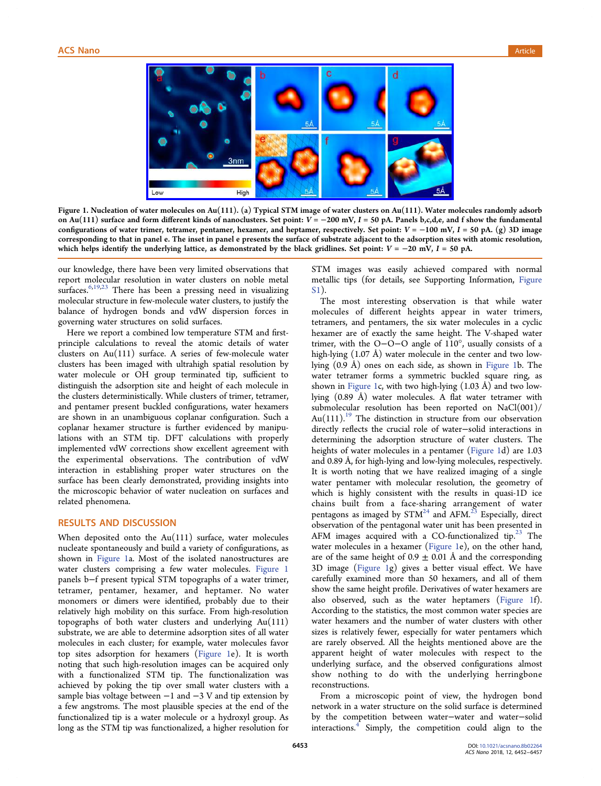

Figure 1. Nucleation of water molecules on Au(111). (a) Typical STM image of water clusters on Au(111). Water molecules randomly adsorb on Au(111) surface and form different kinds of nanoclusters. Set point:  $V = -200$  mV,  $I = 50$  pA. Panels b,c,d,e, and f show the fundamental configurations of water trimer, tetramer, pentamer, hexamer, and heptamer, respectively. Set point:  $V = -100$  mV,  $I = 50$  pA. (g) 3D image corresponding to that in panel e. The inset in panel e presents the surface of substrate adjacent to the adsorption sites with atomic resolution, which helps identify the underlying lattice, as demonstrated by the black gridlines. Set point:  $V = -20$  mV,  $I = 50$  pA.

our knowledge, there have been very limited observations that report molecular resolution in water clusters on noble metal surfaces.<sup>[6,19](#page-4-0),[23](#page-5-0)</sup> There has been a pressing need in visualizing molecular structure in few-molecule water clusters, to justify the balance of hydrogen bonds and vdW dispersion forces in governing water structures on solid surfaces.

Here we report a combined low temperature STM and firstprinciple calculations to reveal the atomic details of water clusters on Au(111) surface. A series of few-molecule water clusters has been imaged with ultrahigh spatial resolution by water molecule or OH group terminated tip, sufficient to distinguish the adsorption site and height of each molecule in the clusters deterministically. While clusters of trimer, tetramer, and pentamer present buckled configurations, water hexamers are shown in an unambiguous coplanar configuration. Such a coplanar hexamer structure is further evidenced by manipulations with an STM tip. DFT calculations with properly implemented vdW corrections show excellent agreement with the experimental observations. The contribution of vdW interaction in establishing proper water structures on the surface has been clearly demonstrated, providing insights into the microscopic behavior of water nucleation on surfaces and related phenomena.

### RESULTS AND DISCUSSION

When deposited onto the  $Au(111)$  surface, water molecules nucleate spontaneously and build a variety of configurations, as shown in Figure 1a. Most of the isolated nanostructures are water clusters comprising a few water molecules. Figure 1 panels b−f present typical STM topographs of a water trimer, tetramer, pentamer, hexamer, and heptamer. No water monomers or dimers were identified, probably due to their relatively high mobility on this surface. From high-resolution topographs of both water clusters and underlying Au(111) substrate, we are able to determine adsorption sites of all water molecules in each cluster; for example, water molecules favor top sites adsorption for hexamers (Figure 1e). It is worth noting that such high-resolution images can be acquired only with a functionalized STM tip. The functionalization was achieved by poking the tip over small water clusters with a sample bias voltage between −1 and −3 V and tip extension by a few angstroms. The most plausible species at the end of the functionalized tip is a water molecule or a hydroxyl group. As long as the STM tip was functionalized, a higher resolution for

STM images was easily achieved compared with normal metallic tips (for details, see Supporting Information, [Figure](http://pubs.acs.org/doi/suppl/10.1021/acsnano.8b02264/suppl_file/nn8b02264_si_001.pdf) [S1\)](http://pubs.acs.org/doi/suppl/10.1021/acsnano.8b02264/suppl_file/nn8b02264_si_001.pdf).

The most interesting observation is that while water molecules of different heights appear in water trimers, tetramers, and pentamers, the six water molecules in a cyclic hexamer are of exactly the same height. The V-shaped water trimer, with the O−O−O angle of 110°, usually consists of a high-lying (1.07 Å) water molecule in the center and two lowlying (0.9 Å) ones on each side, as shown in Figure 1b. The water tetramer forms a symmetric buckled square ring, as shown in Figure 1c, with two high-lying (1.03 Å) and two lowlying (0.89 Å) water molecules. A flat water tetramer with submolecular resolution has been reported on NaCl(001)/  $Au(111).$ <sup>[19](#page-4-0)</sup> The distinction in structure from our observation directly reflects the crucial role of water−solid interactions in determining the adsorption structure of water clusters. The heights of water molecules in a pentamer (Figure 1d) are 1.03 and 0.89 Å, for high-lying and low-lying molecules, respectively. It is worth noting that we have realized imaging of a single water pentamer with molecular resolution, the geometry of which is highly consistent with the results in quasi-1D ice chains built from a face-sharing arrangement of water pentagons as imaged by  $STM^{24}$  and AFM.<sup>[23](#page-5-0)</sup> Especially, direct observation of the pentagonal water unit has been presented in AFM images acquired with a CO-functionalized tip. $23$  The water molecules in a hexamer (Figure 1e), on the other hand, are of the same height of  $0.9 \pm 0.01$  Å and the corresponding 3D image (Figure 1g) gives a better visual effect. We have carefully examined more than 50 hexamers, and all of them show the same height profile. Derivatives of water hexamers are also observed, such as the water heptamers (Figure 1f). According to the statistics, the most common water species are water hexamers and the number of water clusters with other sizes is relatively fewer, especially for water pentamers which are rarely observed. All the heights mentioned above are the apparent height of water molecules with respect to the underlying surface, and the observed configurations almost show nothing to do with the underlying herringbone reconstructions.

From a microscopic point of view, the hydrogen bond network in a water structure on the solid surface is determined by the competition between water−water and water−solid interactions.<sup>[4](#page-4-0)</sup> Simply, the competition could align to the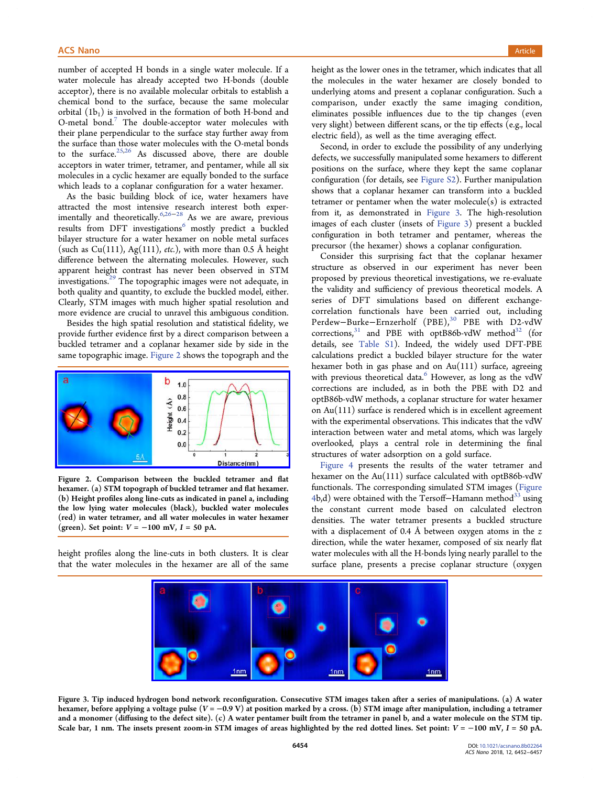number of accepted H bonds in a single water molecule. If a water molecule has already accepted two H-bonds (double acceptor), there is no available molecular orbitals to establish a chemical bond to the surface, because the same molecular orbital  $(1b_1)$  is involved in the formation of both H-bond and O-metal bond. $\sqrt{ }$  The double-acceptor water molecules with their plane perpendicular to the surface stay further away from the surface than those water molecules with the O-metal bonds to the surface. $25,26$  $25,26$  $25,26$  As discussed above, there are double acceptors in water trimer, tetramer, and pentamer, while all six molecules in a cyclic hexamer are equally bonded to the surface which leads to a coplanar configuration for a water hexamer.

As the basic building block of ice, water hexamers have attracted the most intensive research interest both exper-imentally and theoretically.<sup>[6](#page-4-0)[,26](#page-5-0)–[28](#page-5-0)</sup> As we are aware, previous results from DFT investigations<sup>[6](#page-4-0)</sup> mostly predict a buckled bilayer structure for a water hexamer on noble metal surfaces (such as  $Cu(111)$ , Ag $(111)$ , etc.), with more than 0.5 Å height difference between the alternating molecules. However, such apparent height contrast has never been observed in STM investigations.[29](#page-5-0) The topographic images were not adequate, in both quality and quantity, to exclude the buckled model, either. Clearly, STM images with much higher spatial resolution and more evidence are crucial to unravel this ambiguous condition.

Besides the high spatial resolution and statistical fidelity, we provide further evidence first by a direct comparison between a buckled tetramer and a coplanar hexamer side by side in the same topographic image. Figure 2 shows the topograph and the



Figure 2. Comparison between the buckled tetramer and flat hexamer. (a) STM topograph of buckled tetramer and flat hexamer. (b) Height profiles along line-cuts as indicated in panel a, including the low lying water molecules (black), buckled water molecules (red) in water tetramer, and all water molecules in water hexamer (green). Set point:  $V = -100$  mV,  $I = 50$  pA.

height profiles along the line-cuts in both clusters. It is clear that the water molecules in the hexamer are all of the same height as the lower ones in the tetramer, which indicates that all the molecules in the water hexamer are closely bonded to underlying atoms and present a coplanar configuration. Such a comparison, under exactly the same imaging condition, eliminates possible influences due to the tip changes (even very slight) between different scans, or the tip effects (e.g., local electric field), as well as the time averaging effect.

Second, in order to exclude the possibility of any underlying defects, we successfully manipulated some hexamers to different positions on the surface, where they kept the same coplanar configuration (for details, see [Figure S2\)](http://pubs.acs.org/doi/suppl/10.1021/acsnano.8b02264/suppl_file/nn8b02264_si_001.pdf). Further manipulation shows that a coplanar hexamer can transform into a buckled tetramer or pentamer when the water molecule(s) is extracted from it, as demonstrated in Figure 3. The high-resolution images of each cluster (insets of Figure 3) present a buckled configuration in both tetramer and pentamer, whereas the precursor (the hexamer) shows a coplanar configuration.

Consider this surprising fact that the coplanar hexamer structure as observed in our experiment has never been proposed by previous theoretical investigations, we re-evaluate the validity and sufficiency of previous theoretical models. A series of DFT simulations based on different exchangecorrelation functionals have been carried out, including Perdew-Burke-Ernzerholf (PBE),<sup>[30](#page-5-0)</sup> PBE with D2-vdW corrections, $31$  and PBE with optB86b-vdW method $32$  (for details, see [Table S1](http://pubs.acs.org/doi/suppl/10.1021/acsnano.8b02264/suppl_file/nn8b02264_si_001.pdf)). Indeed, the widely used DFT-PBE calculations predict a buckled bilayer structure for the water hexamer both in gas phase and on  $Au(111)$  surface, agreeing with previous theoretical data.<sup>[6](#page-4-0)</sup> However, as long as the vdW corrections are included, as in both the PBE with D2 and optB86b-vdW methods, a coplanar structure for water hexamer on Au(111) surface is rendered which is in excellent agreement with the experimental observations. This indicates that the vdW interaction between water and metal atoms, which was largely overlooked, plays a central role in determining the final structures of water adsorption on a gold surface.

[Figure 4](#page-3-0) presents the results of the water tetramer and hexamer on the Au(111) surface calculated with optB86b-vdW functionals. The corresponding simulated STM images [\(Figure](#page-3-0) [4](#page-3-0)b,d) were obtained with the Tersoff–Hamann method<sup>[33](#page-5-0)</sup> using the constant current mode based on calculated electron densities. The water tetramer presents a buckled structure with a displacement of 0.4 Å between oxygen atoms in the  $z$ direction, while the water hexamer, composed of six nearly flat water molecules with all the H-bonds lying nearly parallel to the surface plane, presents a precise coplanar structure (oxygen



Figure 3. Tip induced hydrogen bond network reconfiguration. Consecutive STM images taken after a series of manipulations. (a) A water hexamer, before applying a voltage pulse  $(V = -0.9 \text{ V})$  at position marked by a cross. (b) STM image after manipulation, including a tetramer and a monomer (diffusing to the defect site). (c) A water pentamer built from the tetramer in panel b, and a water molecule on the STM tip. Scale bar, 1 nm. The insets present zoom-in STM images of areas highlighted by the red dotted lines. Set point:  $V = -100$  mV,  $I = 50$  pA.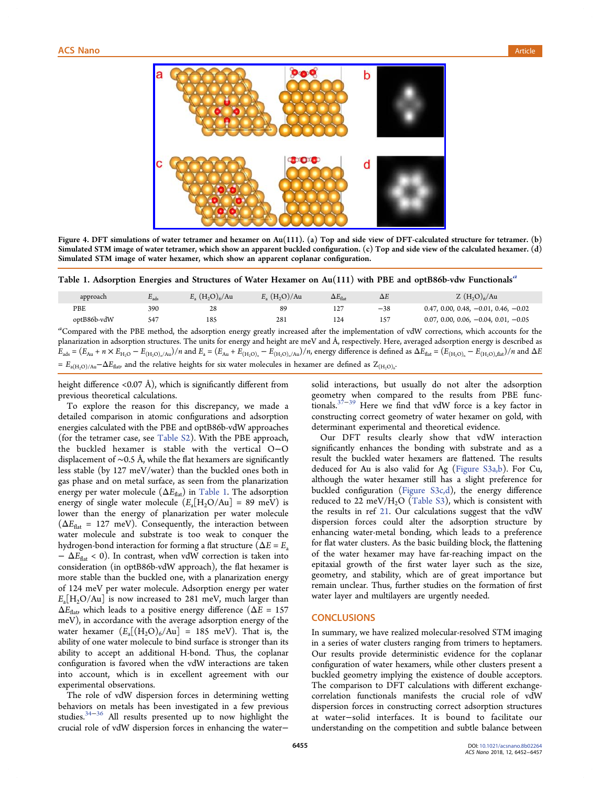<span id="page-3-0"></span>

Figure 4. DFT simulations of water tetramer and hexamer on Au(111). (a) Top and side view of DFT-calculated structure for tetramer. (b) Simulated STM image of water tetramer, which show an apparent buckled configuration. (c) Top and side view of the calculated hexamer. (d) Simulated STM image of water hexamer, which show an apparent coplanar configuration.

| Table 1. Adsorption Energies and Structures of Water Hexamer on Au(111) with PBE and optB86b-vdw Functionals <sup>a</sup> |  |  |  |
|---------------------------------------------------------------------------------------------------------------------------|--|--|--|
|---------------------------------------------------------------------------------------------------------------------------|--|--|--|

| approach    | $E_{\text{ads}}$ | $E_a (H_2 O)_6 / Au$ | $E_{2}$ (H <sub>2</sub> O)/Au | $\Delta E_\text{flat}$ | $\Delta E$ | $Z(H, O)_{6}/Au$                       |
|-------------|------------------|----------------------|-------------------------------|------------------------|------------|----------------------------------------|
| PBE         | 390              | 28                   | 89                            | 14                     | $-38$      | $0.47, 0.00, 0.48, -0.01, 0.46, -0.02$ |
| optB86b-vdW | 547              | 185                  | 281                           | 124                    | 157        | $0.07, 0.00, 0.06, -0.04, 0.01, -0.05$ |

<sup>a</sup>Compared with the PBE method, the adsorption energy greatly increased after the implementation of vdW corrections, which accounts for the planarization in adsorption structures. The units for energy and height are meV and Å, respectively. Here, averaged adsorption energy is described as  $E_{\text{ads}} = (E_{\text{Au}} + n \times E_{\text{H}_2\text{O}} - E_{\text{(H}_2\text{O})_\text{n}/\text{Au}})/n \text{ and } E_{\text{a}} = (E_{\text{Au}} + E_{\text{(H}_2\text{O})_\text{n}} - E_{\text{(H}_2\text{O})_\text{n}/\text{Au}})/n \text{, energy difference is defined as } \Delta E_{\text{flat}} = (E_{\text{(H}_2\text{O})_\text{n}} - E_{\text{(H}_2\text{O})_\text{n} \text{flat}})/n \text{ and } \Delta E_{\text{a}} = (E_{\text{Au}} - E_{\text{(H}_2\text{$  $= E_{a(H,Q)/Au} - \Delta E_{flat}$ , and the relative heights for six water molecules in hexamer are defined as  $Z_{(H_2O)_6}$ . .

height difference <0.07 Å), which is significantly different from previous theoretical calculations.

To explore the reason for this discrepancy, we made a detailed comparison in atomic configurations and adsorption energies calculated with the PBE and optB86b-vdW approaches (for the tetramer case, see [Table S2](http://pubs.acs.org/doi/suppl/10.1021/acsnano.8b02264/suppl_file/nn8b02264_si_001.pdf)). With the PBE approach, the buckled hexamer is stable with the vertical O−O displacement of ∼0.5 Å, while the flat hexamers are significantly less stable (by 127 meV/water) than the buckled ones both in gas phase and on metal surface, as seen from the planarization energy per water molecule  $(\Delta E_{\text{flat}})$  in Table 1. The adsorption energy of single water molecule  $(E_a[H_2O/Au] = 89$  meV) is lower than the energy of planarization per water molecule  $(\Delta E_{\text{flat}} = 127 \text{ meV})$ . Consequently, the interaction between water molecule and substrate is too weak to conquer the hydrogen-bond interaction for forming a flat structure ( $\Delta E = E_a$  $-\Delta E_{\text{flat}} < 0$ ). In contrast, when vdW correction is taken into consideration (in optB86b-vdW approach), the flat hexamer is more stable than the buckled one, with a planarization energy of 124 meV per water molecule. Adsorption energy per water  $E_a[H_2O/Au]$  is now increased to 281 meV, much larger than  $\Delta E_{\text{flat}}$  which leads to a positive energy difference ( $\Delta E = 157$ meV), in accordance with the average adsorption energy of the water hexamer  $(E_a[(H_2O)_6/Au] = 185$  meV). That is, the ability of one water molecule to bind surface is stronger than its ability to accept an additional H-bond. Thus, the coplanar configuration is favored when the vdW interactions are taken into account, which is in excellent agreement with our experimental observations.

The role of vdW dispersion forces in determining wetting behaviors on metals has been investigated in a few previous studies. $34-36$  $34-36$  $34-36$  All results presented up to now highlight the crucial role of vdW dispersion forces in enhancing the water− solid interactions, but usually do not alter the adsorption geometry when compared to the results from PBE func-tionals.<sup>[37](#page-5-0)–[39](#page-5-0)</sup> Here we find that vdW force is a key factor in constructing correct geometry of water hexamer on gold, with determinant experimental and theoretical evidence.

Our DFT results clearly show that vdW interaction significantly enhances the bonding with substrate and as a result the buckled water hexamers are flattened. The results deduced for Au is also valid for Ag ([Figure S3a,b](http://pubs.acs.org/doi/suppl/10.1021/acsnano.8b02264/suppl_file/nn8b02264_si_001.pdf)). For Cu, although the water hexamer still has a slight preference for buckled configuration ([Figure S3c,d](http://pubs.acs.org/doi/suppl/10.1021/acsnano.8b02264/suppl_file/nn8b02264_si_001.pdf)), the energy difference reduced to  $22 \text{ meV/H}_2\text{O}$  ([Table S3](http://pubs.acs.org/doi/suppl/10.1021/acsnano.8b02264/suppl_file/nn8b02264_si_001.pdf)), which is consistent with the results in ref [21.](#page-5-0) Our calculations suggest that the vdW dispersion forces could alter the adsorption structure by enhancing water-metal bonding, which leads to a preference for flat water clusters. As the basic building block, the flattening of the water hexamer may have far-reaching impact on the epitaxial growth of the first water layer such as the size, geometry, and stability, which are of great importance but remain unclear. Thus, further studies on the formation of first water layer and multilayers are urgently needed.

# **CONCLUSIONS**

In summary, we have realized molecular-resolved STM imaging in a series of water clusters ranging from trimers to heptamers. Our results provide deterministic evidence for the coplanar configuration of water hexamers, while other clusters present a buckled geometry implying the existence of double acceptors. The comparison to DFT calculations with different exchangecorrelation functionals manifests the crucial role of vdW dispersion forces in constructing correct adsorption structures at water−solid interfaces. It is bound to facilitate our understanding on the competition and subtle balance between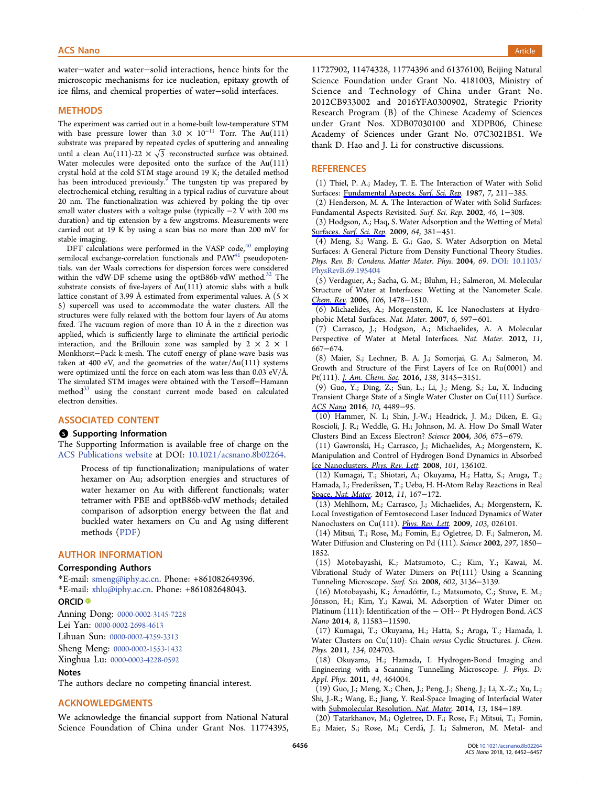<span id="page-4-0"></span>water−water and water−solid interactions, hence hints for the microscopic mechanisms for ice nucleation, epitaxy growth of ice films, and chemical properties of water−solid interfaces.

# **METHODS**

The experiment was carried out in a home-built low-temperature STM with base pressure lower than  $3.0 \times 10^{-11}$  Torr. The Au(111) substrate was prepared by repeated cycles of sputtering and annealing until a clean Au(111)-22  $\times \sqrt{3}$  reconstructed surface was obtained. Water molecules were deposited onto the surface of the Au(111) crystal hold at the cold STM stage around 19 K; the detailed method<br>has been introduced previously.<sup>9</sup> The tungsten tip was prepared by electrochemical etching, resulting in a typical radius of curvature about 20 nm. The functionalization was achieved by poking the tip over small water clusters with a voltage pulse (typically −2 V with 200 ms duration) and tip extension by a few angstroms. Measurements were carried out at 19 K by using a scan bias no more than 200 mV for stable imaging.

DFT calculations were performed in the VASP code, $40$  employing semilocal exchange-correlation functionals and PAW<sup>[41](#page-5-0)</sup> pseudopotentials. van der Waals corrections for dispersion forces were considered within the vdW-DF scheme using the optB86b-vdW method. $32$  The substrate consists of five-layers of  $Au(111)$  atomic slabs with a bulk lattice constant of 3.99 Å estimated from experimental values. A (5  $\times$ 5) supercell was used to accommodate the water clusters. All the structures were fully relaxed with the bottom four layers of Au atoms fixed. The vacuum region of more than 10 Å in the  $z$  direction was applied, which is sufficiently large to eliminate the artificial periodic interaction, and the Brillouin zone was sampled by  $2 \times 2 \times 1$ Monkhorst−Pack k-mesh. The cutoff energy of plane-wave basis was taken at 400 eV, and the geometries of the water/ $Au(111)$  systems were optimized until the force on each atom was less than 0.03 eV/Å. The simulated STM images were obtained with the Tersoff−Hamann method<sup>[33](#page-5-0)</sup> using the constant current mode based on calculated electron densities.

## ASSOCIATED CONTENT

#### **6** Supporting Information

The Supporting Information is available free of charge on the [ACS Publications website](http://pubs.acs.org) at DOI: [10.1021/acsnano.8b02264.](http://pubs.acs.org/doi/abs/10.1021/acsnano.8b02264)

Process of tip functionalization; manipulations of water hexamer on Au; adsorption energies and structures of water hexamer on Au with different functionals; water tetramer with PBE and optB86b-vdW methods; detailed comparison of adsorption energy between the flat and buckled water hexamers on Cu and Ag using different methods [\(PDF](http://pubs.acs.org/doi/suppl/10.1021/acsnano.8b02264/suppl_file/nn8b02264_si_001.pdf))

# AUTHOR INFORMATION

#### Corresponding Authors

\*E-mail: [smeng@iphy.ac.cn.](mailto:smeng@iphy.ac.cn) Phone: +861082649396. \*E-mail: [xhlu@iphy.ac.cn](mailto:xhlu@iphy.ac.cn). Phone: +861082648043.

# ORCID<sup>®</sup>

Anning Dong: [0000-0002-3145-7228](http://orcid.org/0000-0002-3145-7228)

Lei Yan: [0000-0002-2698-4613](http://orcid.org/0000-0002-2698-4613) Lihuan Sun: [0000-0002-4259-3313](http://orcid.org/0000-0002-4259-3313) Sheng Meng: [0000-0002-1553-1432](http://orcid.org/0000-0002-1553-1432) Xinghua Lu: [0000-0003-4228-0592](http://orcid.org/0000-0003-4228-0592)

# Notes

The authors declare no competing financial interest.

# ACKNOWLEDGMENTS

We acknowledge the financial support from National Natural Science Foundation of China under Grant Nos. 11774395,

11727902, 11474328, 11774396 and 61376100, Beijing Natural Science Foundation under Grant No. 4181003, Ministry of Science and Technology of China under Grant No. 2012CB933002 and 2016YFA0300902, Strategic Priority Research Program (B) of the Chinese Academy of Sciences under Grant Nos. XDB07030100 and XDPB06, Chinese Academy of Sciences under Grant No. 07C3021B51. We thank D. Hao and J. Li for constructive discussions.

#### **REFERENCES**

(1) Thiel, P. A.; Madey, T. E. The Interaction of Water with Solid Surfaces: [Fundamental Aspects.](http://pubs.acs.org/action/showLinks?crossref=10.1016%2F0167-5729%2887%2990001-X&citationId=p_n_2_1) Surf. Sci. Rep. 1987, 7, 211−385.

(2) Henderson, M. A. The Interaction of Water with Solid Surfaces: Fundamental Aspects Revisited. Surf. Sci. Rep. 2002, 46, 1−308.

(3) Hodgson, A.; Haq, S. Water Adsorption and the Wetting of Metal Surfaces. [Surf. Sci. Rep](http://pubs.acs.org/action/showLinks?crossref=10.1016%2Fj.surfrep.2009.07.001&coi=1%3ACAS%3A528%3ADC%252BD1MXhtV2jtL7F&citationId=p_n_10_1). 2009, 64, 381−451.

(4) Meng, S.; Wang, E. G.; Gao, S. Water Adsorption on Metal Surfaces: A General Picture from Density Functional Theory Studies. Phys. Rev. B: Condens. Matter Mater. Phys. 2004, 69. [DOI: 10.1103/](http://dx.doi.org/10.1103/PhysRevB.69.195404) [PhysRevB.69.195404](http://dx.doi.org/10.1103/PhysRevB.69.195404)

(5) Verdaguer, A.; Sacha, G. M.; Bluhm, H.; Salmeron, M. Molecular Structure of Water at Interfaces: Wetting at the Nanometer Scale. [Chem. Rev.](http://pubs.acs.org/action/showLinks?system=10.1021%2Fcr040376l&coi=1%3ACAS%3A528%3ADC%252BD28XivFWmur4%253D&citationId=p_n_19_1) 2006, 106, 1478-1510.

(6) Michaelides, A.; Morgenstern, K. Ice Nanoclusters at Hydrophobic Metal Surfaces. Nat. Mater. 2007, 6, 597−601.

(7) Carrasco, J.; Hodgson, A.; Michaelides, A. A Molecular Perspective of Water at Metal Interfaces. Nat. Mater. 2012, 11, 667−674.

(8) Maier, S.; Lechner, B. A. J.; Somorjai, G. A.; Salmeron, M. Growth and Structure of the First Layers of Ice on Ru(0001) and Pt(111). *[J. Am. Chem. Soc.](http://pubs.acs.org/action/showLinks?system=10.1021%2Fjacs.5b13133&citationId=p_n_31_1)* 2016, 138, 3145-3151.

(9) Guo, Y.; Ding, Z.; Sun, L.; Li, J.; Meng, S.; Lu, X. Inducing Transient Charge State of a Single Water Cluster on Cu(111) Surface. [ACS Nano](http://pubs.acs.org/action/showLinks?system=10.1021%2Facsnano.6b00230&coi=1%3ACAS%3A528%3ADC%252BC28XkslKjs7Y%253D&citationId=p_n_36_1) 2016, 10, 4489−95.

(10) Hammer, N. I.; Shin, J.-W.; Headrick, J. M.; Diken, E. G.; Roscioli, J. R.; Weddle, G. H.; Johnson, M. A. How Do Small Water Clusters Bind an Excess Electron? Science 2004, 306, 675−679.

(11) Gawronski, H.; Carrasco, J.; Michaelides, A.; Morgenstern, K. Manipulation and Control of Hydrogen Bond Dynamics in Absorbed [Ice Nanoclusters.](http://pubs.acs.org/action/showLinks?crossref=10.1103%2FPhysRevLett.101.136102&citationId=p_n_46_1) Phys. Rev. Lett. 2008, 101, 136102.

(12) Kumagai, T.; Shiotari, A.; Okuyama, H.; Hatta, S.; Aruga, T.; Hamada, I.; Frederiksen, T.; Ueba, H. H-Atom Relay Reactions in Real Space. [Nat. Mater.](http://pubs.acs.org/action/showLinks?crossref=10.1038%2Fnmat3176&coi=1%3ACAS%3A528%3ADC%252BC3MXhsFWqtLzN&citationId=p_n_49_1) 2012, 11, 167−172.

(13) Mehlhorn, M.; Carrasco, J.; Michaelides, A.; Morgenstern, K. Local Investigation of Femtosecond Laser Induced Dynamics of Water Nanoclusters on Cu(111). *[Phys. Rev. Lett](http://pubs.acs.org/action/showLinks?pmid=19659222&crossref=10.1103%2FPhysRevLett.103.026101&citationId=p_n_54_1).* 2009, 103, 026101.

(14) Mitsui, T.; Rose, M.; Fomin, E.; Ogletree, D. F.; Salmeron, M. Water Diffusion and Clustering on Pd (111). Science 2002, 297, 1850− 1852.

(15) Motobayashi, K.; Matsumoto, C.; Kim, Y.; Kawai, M. Vibrational Study of Water Dimers on Pt(111) Using a Scanning Tunneling Microscope. Surf. Sci. 2008, 602, 3136−3139.

(16) Motobayashi, K.; Árnadóttir, L.; Matsumoto, C.; Stuve, E. M.; Jónsson, H.; Kim, Y.; Kawai, M. Adsorption of Water Dimer on Platinum (111): Identification of the − OH··· Pt Hydrogen Bond. ACS Nano 2014, 8, 11583−11590.

(17) Kumagai, T.; Okuyama, H.; Hatta, S.; Aruga, T.; Hamada, I. Water Clusters on Cu(110): Chain versus Cyclic Structures. J. Chem. Phys. 2011, 134, 024703.

(18) Okuyama, H.; Hamada, I. Hydrogen-Bond Imaging and Engineering with a Scanning Tunnelling Microscope. J. Phys. D: Appl. Phys. 2011, 44, 464004.

(19) Guo, J.; Meng, X.; Chen, J.; Peng, J.; Sheng, J.; Li, X.-Z.; Xu, L.; Shi, J.-R.; Wang, E.; Jiang, Y. Real-Space Imaging of Interfacial Water with [Submolecular Resolution.](http://pubs.acs.org/action/showLinks?crossref=10.1038%2Fnmat3848&citationId=p_n_77_1) Nat. Mater. 2014, 13, 184−189.

(20) Tatarkhanov, M.; Ogletree, D. F.; Rose, F.; Mitsui, T.; Fomin, E.; Maier, S.; Rose, M.; Cerdá, J. I.; Salmeron, M. Metal- and